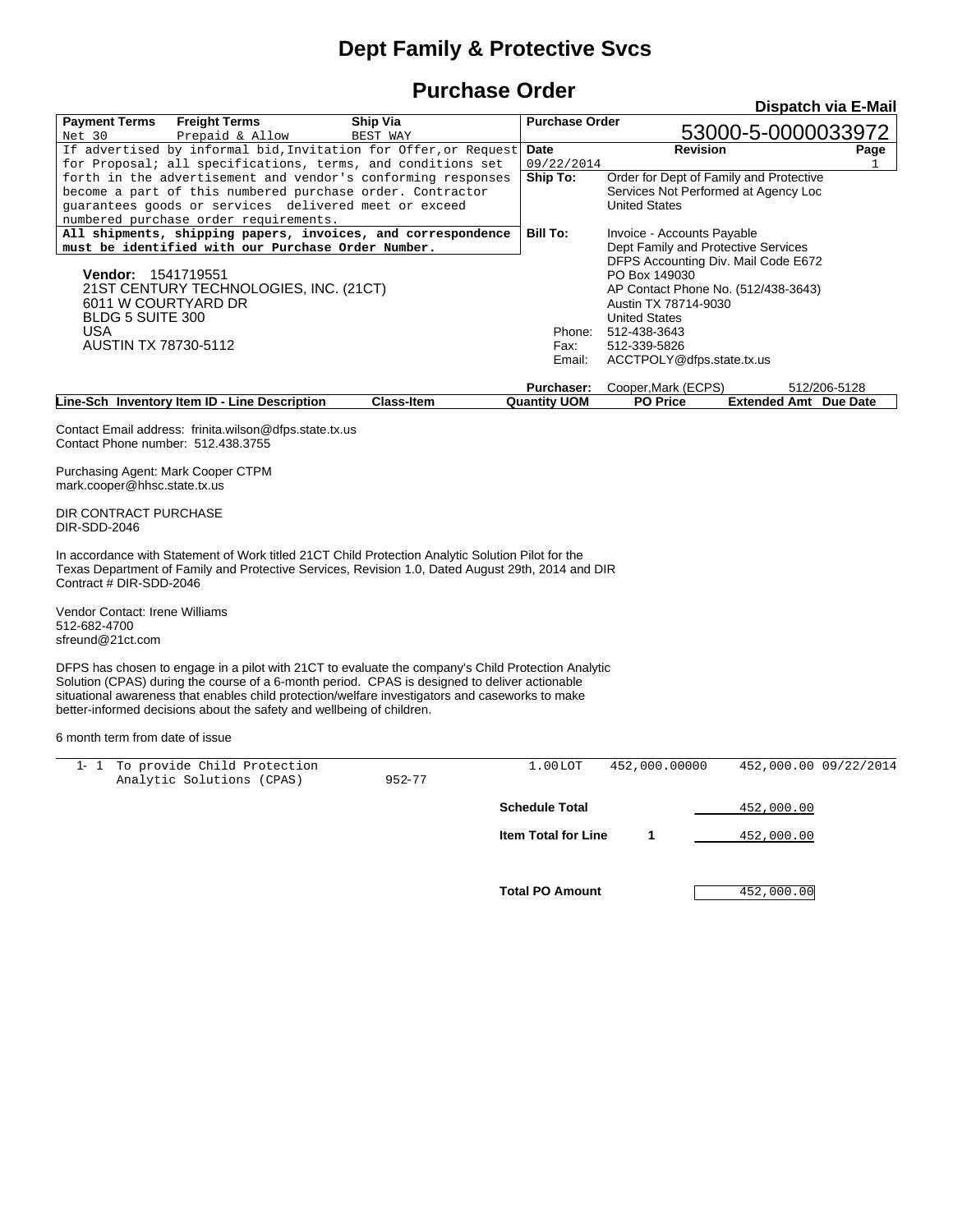## **Dept Family & Protective Svcs**

## **Purchase Order**

|                                                                     |                                                                                                                                                                                                                                                                                                                                                                                 | uuv               |                                   |                                                      | Dispatch via E-Mail                          |
|---------------------------------------------------------------------|---------------------------------------------------------------------------------------------------------------------------------------------------------------------------------------------------------------------------------------------------------------------------------------------------------------------------------------------------------------------------------|-------------------|-----------------------------------|------------------------------------------------------|----------------------------------------------|
| <b>Payment Terms</b>                                                | <b>Freight Terms</b>                                                                                                                                                                                                                                                                                                                                                            | Ship Via          | <b>Purchase Order</b>             | 53000-5-0000033972                                   |                                              |
| Net 30                                                              | Prepaid & Allow                                                                                                                                                                                                                                                                                                                                                                 | BEST WAY          | Date                              | <b>Revision</b>                                      |                                              |
|                                                                     | If advertised by informal bid, Invitation for Offer, or Request<br>for Proposal; all specifications, terms, and conditions set                                                                                                                                                                                                                                                  |                   | 09/22/2014                        |                                                      | Page                                         |
|                                                                     | forth in the advertisement and vendor's conforming responses                                                                                                                                                                                                                                                                                                                    |                   | Ship To:                          | Order for Dept of Family and Protective              |                                              |
|                                                                     | become a part of this numbered purchase order. Contractor                                                                                                                                                                                                                                                                                                                       |                   |                                   | Services Not Performed at Agency Loc                 |                                              |
|                                                                     | guarantees goods or services delivered meet or exceed                                                                                                                                                                                                                                                                                                                           |                   |                                   | <b>United States</b>                                 |                                              |
|                                                                     | numbered purchase order requirements.                                                                                                                                                                                                                                                                                                                                           |                   |                                   |                                                      |                                              |
|                                                                     | All shipments, shipping papers, invoices, and correspondence                                                                                                                                                                                                                                                                                                                    |                   | <b>Bill To:</b>                   | Invoice - Accounts Payable                           |                                              |
|                                                                     | must be identified with our Purchase Order Number.                                                                                                                                                                                                                                                                                                                              |                   |                                   | Dept Family and Protective Services                  |                                              |
|                                                                     |                                                                                                                                                                                                                                                                                                                                                                                 |                   |                                   | DFPS Accounting Div. Mail Code E672<br>PO Box 149030 |                                              |
| <b>Vendor: 1541719551</b><br>21ST CENTURY TECHNOLOGIES, INC. (21CT) |                                                                                                                                                                                                                                                                                                                                                                                 |                   |                                   | AP Contact Phone No. (512/438-3643)                  |                                              |
| 6011 W COURTYARD DR                                                 |                                                                                                                                                                                                                                                                                                                                                                                 |                   |                                   | Austin TX 78714-9030                                 |                                              |
| <b>BLDG 5 SUITE 300</b>                                             |                                                                                                                                                                                                                                                                                                                                                                                 |                   |                                   | <b>United States</b>                                 |                                              |
| <b>USA</b>                                                          |                                                                                                                                                                                                                                                                                                                                                                                 |                   | Phone:                            | 512-438-3643                                         |                                              |
| <b>AUSTIN TX 78730-5112</b>                                         |                                                                                                                                                                                                                                                                                                                                                                                 |                   | Fax:                              | 512-339-5826                                         |                                              |
|                                                                     |                                                                                                                                                                                                                                                                                                                                                                                 |                   | Email:                            | ACCTPOLY@dfps.state.tx.us                            |                                              |
|                                                                     |                                                                                                                                                                                                                                                                                                                                                                                 |                   |                                   |                                                      |                                              |
|                                                                     | Line-Sch Inventory Item ID - Line Description                                                                                                                                                                                                                                                                                                                                   | <b>Class-Item</b> | Purchaser:<br><b>Quantity UOM</b> | Cooper, Mark (ECPS)<br><b>PO Price</b>               | 512/206-5128<br><b>Extended Amt</b> Due Date |
|                                                                     | Contact Email address: frinita.wilson@dfps.state.tx.us                                                                                                                                                                                                                                                                                                                          |                   |                                   |                                                      |                                              |
| Contact Phone number: 512.438.3755                                  |                                                                                                                                                                                                                                                                                                                                                                                 |                   |                                   |                                                      |                                              |
| Purchasing Agent: Mark Cooper CTPM<br>mark.cooper@hhsc.state.tx.us  |                                                                                                                                                                                                                                                                                                                                                                                 |                   |                                   |                                                      |                                              |
| DIR CONTRACT PURCHASE<br>DIR-SDD-2046                               |                                                                                                                                                                                                                                                                                                                                                                                 |                   |                                   |                                                      |                                              |
| Contract # DIR-SDD-2046                                             | In accordance with Statement of Work titled 21CT Child Protection Analytic Solution Pilot for the<br>Texas Department of Family and Protective Services, Revision 1.0, Dated August 29th, 2014 and DIR                                                                                                                                                                          |                   |                                   |                                                      |                                              |
| Vendor Contact: Irene Williams<br>512-682-4700<br>sfreund@21ct.com  |                                                                                                                                                                                                                                                                                                                                                                                 |                   |                                   |                                                      |                                              |
|                                                                     | DFPS has chosen to engage in a pilot with 21CT to evaluate the company's Child Protection Analytic<br>Solution (CPAS) during the course of a 6-month period. CPAS is designed to deliver actionable<br>situational awareness that enables child protection/welfare investigators and caseworks to make<br>better-informed decisions about the safety and wellbeing of children. |                   |                                   |                                                      |                                              |
| 6 month term from date of issue                                     |                                                                                                                                                                                                                                                                                                                                                                                 |                   |                                   |                                                      |                                              |
|                                                                     | 1- 1 To provide Child Protection                                                                                                                                                                                                                                                                                                                                                |                   | 1.00LOT                           | 452,000.00000                                        | 452,000.00 09/22/2014                        |
|                                                                     | Analytic Solutions (CPAS)                                                                                                                                                                                                                                                                                                                                                       | $952 - 77$        |                                   |                                                      |                                              |
|                                                                     |                                                                                                                                                                                                                                                                                                                                                                                 |                   | <b>Schedule Total</b>             | <u>452,000.00</u>                                    |                                              |
|                                                                     |                                                                                                                                                                                                                                                                                                                                                                                 |                   | Item Total for Line               | 1<br>452,000.00                                      |                                              |
|                                                                     |                                                                                                                                                                                                                                                                                                                                                                                 |                   | <b>Total PO Amount</b>            | 452,000.00                                           |                                              |
|                                                                     |                                                                                                                                                                                                                                                                                                                                                                                 |                   |                                   |                                                      |                                              |